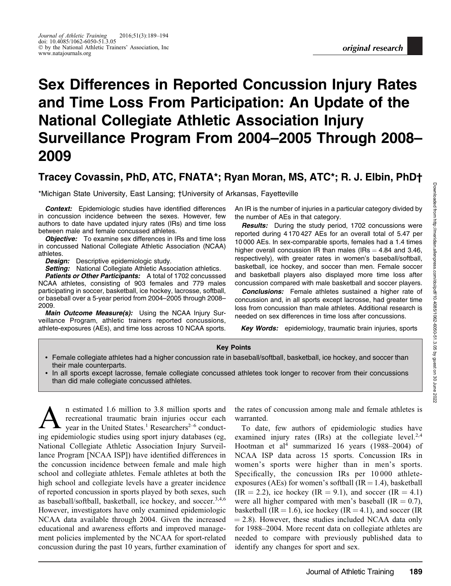# Sex Differences in Reported Concussion Injury Rates and Time Loss From Participation: An Update of the National Collegiate Athletic Association Injury Surveillance Program From 2004–2005 Through 2008– 2009

# Tracey Covassin, PhD, ATC, FNATA\*; Ryan Moran, MS, ATC\*; R. J. Elbin, PhD†

\*Michigan State University, East Lansing; †University of Arkansas, Fayetteville

**Context:** Epidemiologic studies have identified differences in concussion incidence between the sexes. However, few authors to date have updated injury rates (IRs) and time loss between male and female concussed athletes.

**Objective:** To examine sex differences in IRs and time loss in concussed National Collegiate Athletic Association (NCAA) athletes.

Design: Descriptive epidemiologic study.

**Setting:** National Collegiate Athletic Association athletics.

Patients or Other Participants: A total of 1702 concusssed NCAA athletes, consisting of 903 females and 779 males participating in soccer, basketball, ice hockey, lacrosse, softball, or baseball over a 5-year period from 2004–2005 through 2008– 2009.

Main Outcome Measure(s): Using the NCAA Injury Surveillance Program, athletic trainers reported concussions, athlete-exposures (AEs), and time loss across 10 NCAA sports. An IR is the number of injuries in a particular category divided by the number of AEs in that category.

Results: During the study period, 1702 concussions were reported during 4 170 427 AEs for an overall total of 5.47 per 10 000 AEs. In sex-comparable sports, females had a 1.4 times higher overall concussion IR than males (IRs  $=$  4.84 and 3.46, respectively), with greater rates in women's baseball/softball, basketball, ice hockey, and soccer than men. Female soccer and basketball players also displayed more time loss after concussion compared with male basketball and soccer players.

**Conclusions:** Female athletes sustained a higher rate of concussion and, in all sports except lacrosse, had greater time loss from concussion than male athletes. Additional research is needed on sex differences in time loss after concussions.

Key Words: epidemiology, traumatic brain injuries, sports

#### Key Points

- Female collegiate athletes had a higher concussion rate in baseball/softball, basketball, ice hockey, and soccer than their male counterparts.
- In all sports except lacrosse, female collegiate concussed athletes took longer to recover from their concussions than did male collegiate concussed athletes.

 $\sum_{\text{year in the United States.}^{n}}$  restimated 1.6 million to 3.8 million sports and recreational traumatic brain injuries occur each year in the United States.<sup>1</sup> Researchers<sup>2–6</sup> conductrecreational traumatic brain injuries occur each ing epidemiologic studies using sport injury databases (eg, National Collegiate Athletic Association Injury Surveillance Program [NCAA ISP]) have identified differences in the concussion incidence between female and male high school and collegiate athletes. Female athletes at both the high school and collegiate levels have a greater incidence of reported concussion in sports played by both sexes, such as baseball/softball, basketball, ice hockey, and soccer.<sup>3,4,6</sup> However, investigators have only examined epidemiologic NCAA data available through 2004. Given the increased educational and awareness efforts and improved management policies implemented by the NCAA for sport-related concussion during the past 10 years, further examination of

the rates of concussion among male and female athletes is warranted.

To date, few authors of epidemiologic studies have examined injury rates  $(IRs)$  at the collegiate level.<sup>2,4</sup> Hootman et al<sup>4</sup> summarized 16 years (1988–2004) of NCAA ISP data across 15 sports. Concussion IRs in women's sports were higher than in men's sports. Specifically, the concussion IRs per 10 000 athleteexposures (AEs) for women's softball (IR = 1.4), basketball  $(IR = 2.2)$ , ice hockey  $(IR = 9.1)$ , and soccer  $(IR = 4.1)$ were all higher compared with men's baseball  $(IR = 0.7)$ , basketball (IR = 1.6), ice hockey (IR = 4.1), and soccer (IR  $= 2.8$ ). However, these studies included NCAA data only for 1988–2004. More recent data on collegiate athletes are needed to compare with previously published data to identify any changes for sport and sex.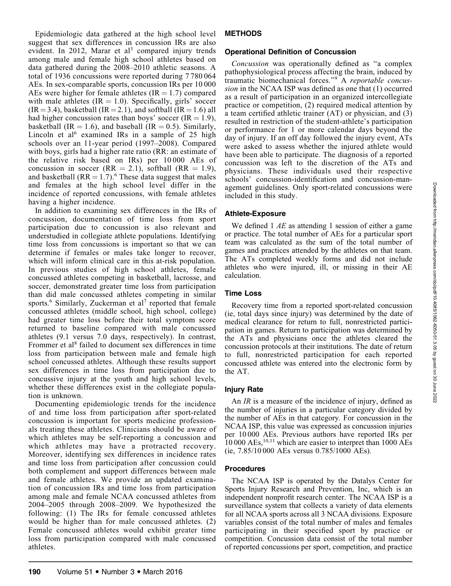Epidemiologic data gathered at the high school level suggest that sex differences in concussion IRs are also evident. In 2012, Marar et al<sup>3</sup> compared injury trends among male and female high school athletes based on data gathered during the 2008–2010 athletic seasons. A total of 1936 concussions were reported during 7 780 064 AEs. In sex-comparable sports, concussion IRs per 10 000 AEs were higher for female athletes  $(IR = 1.7)$  compared with male athletes  $(IR = 1.0)$ . Specifically, girls' soccer  $(IR = 3.4)$ , basketball  $(IR = 2.1)$ , and softball  $(IR = 1.6)$  all had higher concussion rates than boys' soccer  $(IR = 1.9)$ , basketball (IR = 1.6), and baseball (IR = 0.5). Similarly, Lincoln et al<sup>6</sup> examined IRs in a sample of 25 high schools over an 11-year period (1997–2008). Compared with boys, girls had a higher rate ratio (RR: an estimate of the relative risk based on IRs) per 10 000 AEs of concussion in soccer (RR = 2.1), softball (RR = 1.9), and basketball  $(RR = 1.7)$ .<sup>6</sup> These data suggest that males and females at the high school level differ in the incidence of reported concussions, with female athletes having a higher incidence.

In addition to examining sex differences in the IRs of concussion, documentation of time loss from sport participation due to concussion is also relevant and understudied in collegiate athlete populations. Identifying time loss from concussions is important so that we can determine if females or males take longer to recover, which will inform clinical care in this at-risk population. In previous studies of high school athletes, female concussed athletes competing in basketball, lacrosse, and soccer, demonstrated greater time loss from participation than did male concussed athletes competing in similar sports.<sup>6</sup> Similarly, Zuckerman et al<sup>7</sup> reported that female concussed athletes (middle school, high school, college) had greater time loss before their total symptom score returned to baseline compared with male concussed athletes (9.1 versus 7.0 days, respectively). In contrast, Frommer et al<sup>8</sup> failed to document sex differences in time loss from participation between male and female high school concussed athletes. Although these results support sex differences in time loss from participation due to concussive injury at the youth and high school levels, whether these differences exist in the collegiate population is unknown.

Documenting epidemiologic trends for the incidence of and time loss from participation after sport-related concussion is important for sports medicine professionals treating these athletes. Clinicians should be aware of which athletes may be self-reporting a concussion and which athletes may have a protracted recovery. Moreover, identifying sex differences in incidence rates and time loss from participation after concussion could both complement and support differences between male and female athletes. We provide an updated examination of concussion IRs and time loss from participation among male and female NCAA concussed athletes from 2004–2005 through 2008–2009. We hypothesized the following: (1) The IRs for female concussed athletes would be higher than for male concussed athletes. (2) Female concussed athletes would exhibit greater time loss from participation compared with male concussed athletes.

# METHODS

#### Operational Definition of Concussion

Concussion was operationally defined as ''a complex pathophysiological process affecting the brain, induced by traumatic biomechanical forces.''<sup>9</sup> A reportable concussion in the NCAA ISP was defined as one that (1) occurred as a result of participation in an organized intercollegiate practice or competition, (2) required medical attention by a team certified athletic trainer (AT) or physician, and (3) resulted in restriction of the student-athlete's participation or performance for 1 or more calendar days beyond the day of injury. If an off day followed the injury event, ATs were asked to assess whether the injured athlete would have been able to participate. The diagnosis of a reported concussion was left to the discretion of the ATs and physicians. These individuals used their respective schools' concussion-identification and concussion-management guidelines. Only sport-related concussions were included in this study.

#### Athlete-Exposure

We defined 1 AE as attending 1 session of either a game or practice. The total number of AEs for a particular sport team was calculated as the sum of the total number of games and practices attended by the athletes on that team. The ATs completed weekly forms and did not include athletes who were injured, ill, or missing in their AE calculation.

#### Time Loss

Recovery time from a reported sport-related concussion (ie, total days since injury) was determined by the date of medical clearance for return to full, nonrestricted participation in games. Return to participation was determined by the ATs and physicians once the athletes cleared the concussion protocols at their institutions. The date of return to full, nonrestricted participation for each reported concussed athlete was entered into the electronic form by the AT.

# Injury Rate

An *IR* is a measure of the incidence of injury, defined as the number of injuries in a particular category divided by the number of AEs in that category. For concussion in the NCAA ISP, this value was expressed as concussion injuries per 10 000 AEs. Previous authors have reported IRs per  $10\,000\,\mathrm{AEs}$ ,  $^{10,11}$  which are easier to interpret than 1000 AEs (ie, 7.85/10 000 AEs versus 0.785/1000 AEs).

#### Procedures

The NCAA ISP is operated by the Datalys Center for Sports Injury Research and Prevention, Inc, which is an independent nonprofit research center. The NCAA ISP is a surveillance system that collects a variety of data elements for all NCAA sports across all 3 NCAA divisions. Exposure variables consist of the total number of males and females participating in their specified sport by practice or competition. Concussion data consist of the total number of reported concussions per sport, competition, and practice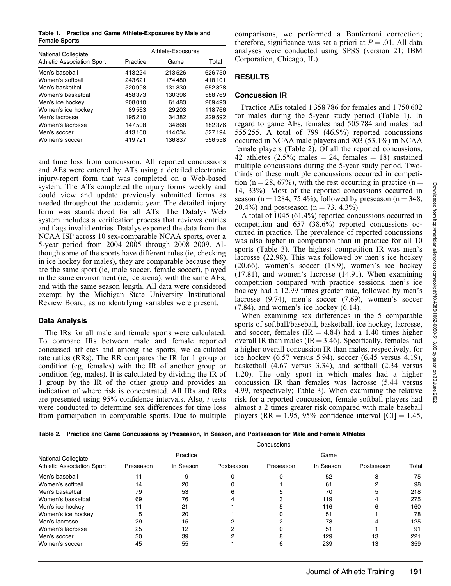Table 1. Practice and Game Athlete-Exposures by Male and Female Sports

| <b>National Collegiate</b>        | Athlete-Exposures |         |         |  |
|-----------------------------------|-------------------|---------|---------|--|
| <b>Athletic Association Sport</b> | Practice          | Game    | Total   |  |
| Men's baseball                    | 413224            | 213526  | 626750  |  |
| Women's softball                  | 243621            | 174480  | 418101  |  |
| Men's basketball                  | 520998            | 131830  | 652828  |  |
| Women's basketball                | 458373            | 130396  | 588769  |  |
| Men's ice hockey                  | 208010            | 61483   | 269493  |  |
| Women's ice hockey                | 89563             | 29 20 3 | 118766  |  |
| Men's lacrosse                    | 195210            | 34 382  | 229592  |  |
| Women's lacrosse                  | 147508            | 34868   | 182376  |  |
| Men's soccer                      | 413160            | 114034  | 527194  |  |
| Women's soccer                    | 419721            | 136837  | 556 558 |  |

and time loss from concussion. All reported concussions and AEs were entered by ATs using a detailed electronic injury-report form that was completed on a Web-based system. The ATs completed the injury forms weekly and could view and update previously submitted forms as needed throughout the academic year. The detailed injury form was standardized for all ATs. The Datalys Web system includes a verification process that reviews entries and flags invalid entries. Datalys exported the data from the NCAA ISP across 10 sex-comparable NCAA sports, over a 5-year period from 2004–2005 through 2008–2009. Although some of the sports have different rules (ie, checking in ice hockey for males), they are comparable because they are the same sport (ie, male soccer, female soccer), played in the same environment (ie, ice arena), with the same AEs, and with the same season length. All data were considered exempt by the Michigan State University Institutional Review Board, as no identifying variables were present.

#### Data Analysis

The IRs for all male and female sports were calculated. To compare IRs between male and female reported concussed athletes and among the sports, we calculated rate ratios (RRs). The RR compares the IR for 1 group or condition (eg, females) with the IR of another group or condition (eg, males). It is calculated by dividing the IR of 1 group by the IR of the other group and provides an indication of where risk is concentrated. All IRs and RRs are presented using 95% confidence intervals. Also, t tests were conducted to determine sex differences for time loss from participation in comparable sports. Due to multiple comparisons, we performed a Bonferroni correction; therefore, significance was set a priori at  $P = .01$ . All data analyses were conducted using SPSS (version 21; IBM Corporation, Chicago, IL).

# **RESULTS**

#### Concussion IR

Practice AEs totaled 1 358 786 for females and 1 750 602 for males during the 5-year study period (Table 1). In regard to game AEs, females had 505 784 and males had 555 255. A total of 799 (46.9%) reported concussions occurred in NCAA male players and 903 (53.1%) in NCAA female players (Table 2). Of all the reported concussions, 42 athletes (2.5%; males  $= 24$ , females  $= 18$ ) sustained multiple concussions during the 5-year study period. Twothirds of these multiple concussions occurred in competition (n = 28, 67%), with the rest occurring in practice (n = 14, 33%). Most of the reported concussions occurred in season (n = 1284, 75.4%), followed by preseason (n = 348, 20.4%) and postseason ( $n = 73, 4.3\%$ ).

A total of 1045 (61.4%) reported concussions occurred in competition and 657 (38.6%) reported concussions occurred in practice. The prevalence of reported concussions was also higher in competition than in practice for all 10 sports (Table 3). The highest competition IR was men's lacrosse (22.98). This was followed by men's ice hockey (20.66), women's soccer (18.9), women's ice hockey (17.81), and women's lacrosse (14.91). When examining competition compared with practice sessions, men's ice hockey had a 12.99 times greater rate, followed by men's lacrosse (9.74), men's soccer (7.69), women's soccer (7.84), and women's ice hockey (6.14).

When examining sex differences in the 5 comparable sports of softball/baseball, basketball, ice hockey, lacrosse, and soccer, females (IR  $=$  4.84) had a 1.40 times higher overall IR than males ( $IR = 3.46$ ). Specifically, females had a higher overall concussion IR than males, respectively, for ice hockey (6.57 versus 5.94), soccer (6.45 versus 4.19), basketball (4.67 versus 3.34), and softball (2.34 versus 1.20). The only sport in which males had a higher concussion IR than females was lacrosse (5.44 versus 4.99, respectively; Table 3). When examining the relative risk for a reported concussion, female softball players had almost a 2 times greater risk compared with male baseball players (RR = 1.95, 95% confidence interval [CI] = 1.45,

Table 2. Practice and Game Concussions by Preseason, In Season, and Postseason for Male and Female Athletes

|                                                                 | Concussions |           |            |           |           |            |       |
|-----------------------------------------------------------------|-------------|-----------|------------|-----------|-----------|------------|-------|
| <b>National Collegiate</b><br><b>Athletic Association Sport</b> | Practice    |           |            | Game      |           |            |       |
|                                                                 | Preseason   | In Season | Postseason | Preseason | In Season | Postseason | Total |
| Men's baseball                                                  |             | 9         |            |           | 52        |            | 75    |
| Women's softball                                                | 14          | 20        |            |           | 61        |            | 98    |
| Men's basketball                                                | 79          | 53        |            |           | 70        |            | 218   |
| Women's basketball                                              | 69          | 76        |            |           | 119       |            | 275   |
| Men's ice hockey                                                |             | 21        |            |           | 116       |            | 160   |
| Women's ice hockey                                              |             | 20        |            |           | 51        |            | 78    |
| Men's lacrosse                                                  | 29          | 15        |            |           | 73        |            | 125   |
| Women's lacrosse                                                | 25          | 12        |            |           | 51        |            | 91    |
| Men's soccer                                                    | 30          | 39        |            |           | 129       | 13         | 221   |
| Women's soccer                                                  | 45          | 55        |            |           | 239       | 13         | 359   |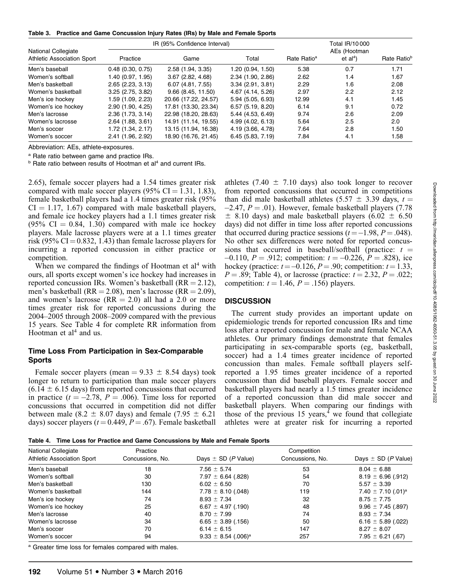Table 3. Practice and Game Concussion Injury Rates (IRs) by Male and Female Sports

|                                                                 |                     | IR (95% Confidence Interval) | Total IR/10000      |                         |                                    |                         |
|-----------------------------------------------------------------|---------------------|------------------------------|---------------------|-------------------------|------------------------------------|-------------------------|
| <b>National Collegiate</b><br><b>Athletic Association Sport</b> | Practice            | Game                         | Total               | Rate Ratio <sup>a</sup> | AEs (Hootman<br>et al <sup>4</sup> | Rate Ratio <sup>b</sup> |
| Men's baseball                                                  | $0.48$ (0.30, 0.75) | 2.58(1.94, 3.35)             | 1.20 (0.94, 1.50)   | 5.38                    | 0.7                                | 1.71                    |
| Women's softball                                                | 1.40 (0.97, 1.95)   | 3.67(2.82, 4.68)             | 2.34(1.90, 2.86)    | 2.62                    | 1.4                                | 1.67                    |
| Men's basketball                                                | 2.65(2.23, 3.13)    | 6.07(4.81, 7.55)             | 3.34(2.91, 3.81)    | 2.29                    | 1.6                                | 2.08                    |
| Women's basketball                                              | 3.25(2.75, 3.82)    | 9.66(8.45, 11.50)            | 4.67 (4.14, 5.26)   | 2.97                    | 2.2                                | 2.12                    |
| Men's ice hockey                                                | 1.59 (1.09, 2.23)   | 20.66 (17.22, 24.57)         | $5.94$ (5.05, 6.93) | 12.99                   | 4.1                                | 1.45                    |
| Women's ice hockey                                              | 2.90(1.90, 4.25)    | 17.81 (13.30, 23.34)         | 6.57(5.19, 8.20)    | 6.14                    | 9.1                                | 0.72                    |
| Men's lacrosse                                                  | 2.36(1.73, 3.14)    | 22.98 (18.20, 28.63)         | 5.44(4.53, 6.49)    | 9.74                    | 2.6                                | 2.09                    |
| Women's lacrosse                                                | $2.64$ (1.88, 3.61) | 14.91 (11.14. 19.55)         | 4.99(4.02, 6.13)    | 5.64                    | 2.5                                | 2.0                     |
| Men's soccer                                                    | 1.72 (1.34, 2.17)   | 13.15 (11.94, 16.38)         | 4.19 (3.66, 4.78)   | 7.64                    | 2.8                                | 1.50                    |
| Women's soccer                                                  | 2.41(1.96, 2.92)    | 18.90 (16.76, 21.45)         | 6.45(5.83, 7.19)    | 7.84                    | 4.1                                | 1.58                    |

Abbreviation: AEs, athlete-exposures.

a Rate ratio between game and practice IRs.

<sup>b</sup> Rate ratio between results of Hootman et al<sup>4</sup> and current IRs.

2.65), female soccer players had a 1.54 times greater risk compared with male soccer players (95%  $CI = 1.31, 1.83$ ), female basketball players had a 1.4 times greater risk (95%  $CI = 1.17, 1.67$  compared with male basketball players, and female ice hockey players had a 1.1 times greater risk  $(95\% \text{ CI} = 0.84, 1.30)$  compared with male ice hockey players. Male lacrosse players were at a 1.1 times greater risk (95% CI =  $0.832$ , 1.43) than female lacrosse players for incurring a reported concussion in either practice or competition.

When we compared the findings of Hootman et  $al<sup>4</sup>$  with ours, all sports except women's ice hockey had increases in reported concussion IRs. Women's basketball  $(RR = 2.12)$ , men's basketball (RR = 2.08), men's lacrosse (RR = 2.09), and women's lacrosse  $(RR = 2.0)$  all had a 2.0 or more times greater risk for reported concussions during the 2004–2005 through 2008–2009 compared with the previous 15 years. See Table 4 for complete RR information from Hootman et  $al<sup>4</sup>$  and us.

#### Time Loss From Participation in Sex-Comparable Sports

Female soccer players (mean  $= 9.33 \pm 8.54$  days) took longer to return to participation than male soccer players  $(6.14 \pm 6.15$  days) from reported concussions that occurred in practice ( $t = -2.78$ ,  $P = .006$ ). Time loss for reported concussions that occurred in competition did not differ between male (8.2  $\pm$  8.07 days) and female (7.95  $\pm$  6.21 days) soccer players ( $t = 0.449$ ,  $P = .67$ ). Female basketball

athletes (7.40  $\pm$  7.10 days) also took longer to recover from reported concussions that occurred in competitions than did male basketball athletes (5.57  $\pm$  3.39 days, t =  $-2.47$ ,  $P = .01$ ). However, female basketball players (7.78)  $\pm$  8.10 days) and male basketball players (6.02  $\pm$  6.50 days) did not differ in time loss after reported concussions that occurred during practice sessions  $(t = -1.98, P = .048)$ . No other sex differences were noted for reported concussions that occurred in baseball/softball (practice:  $t =$  $-0.110$ ,  $P = .912$ ; competition:  $t = -0.226$ ,  $P = .828$ ), ice hockey (practice:  $t = -0.126$ ,  $P = .90$ ; competition:  $t = 1.33$ ,  $P = .89$ ; Table 4), or lacrosse (practice:  $t = 2.32, P = .022$ ; competition:  $t = 1.46$ ,  $P = .156$ ) players.

#### **DISCUSSION**

The current study provides an important update on epidemiologic trends for reported concussion IRs and time loss after a reported concussion for male and female NCAA athletes. Our primary findings demonstrate that females participating in sex-comparable sports (eg, basketball, soccer) had a 1.4 times greater incidence of reported concussion than males. Female softball players selfreported a 1.95 times greater incidence of a reported concussion than did baseball players. Female soccer and basketball players had nearly a 1.5 times greater incidence of a reported concussion than did male soccer and basketball players. When comparing our findings with those of the previous 15 years, $\frac{4}{3}$  we found that collegiate athletes were at greater risk for incurring a reported

Table 4. Time Loss for Practice and Game Concussions by Male and Female Sports

| National Collegiate               | Practice         | Competition                         |                  |                                    |  |  |
|-----------------------------------|------------------|-------------------------------------|------------------|------------------------------------|--|--|
| <b>Athletic Association Sport</b> | Concussions, No. | Days $\pm$ SD (P Value)             | Concussions, No. | Days $\pm$ SD (P Value)            |  |  |
| Men's baseball                    | 18               | $7.56 \pm 5.74$                     | 53               | $8.04 \pm 6.88$                    |  |  |
| Women's softball                  | 30               | $7.97 \pm 6.64$ (.828)              | 54               | $8.19 \pm 6.96$ (.912)             |  |  |
| Men's basketball                  | 130              | $6.02 \pm 6.50$                     | 70               | $5.57 \pm 3.39$                    |  |  |
| Women's basketball                | 144              | $7.78 \pm 8.10$ (.048)              | 119              | 7.40 $\pm$ 7.10 (.01) <sup>a</sup> |  |  |
| Men's ice hockey                  | 74               | $8.93 \pm 7.34$                     | 32               | $8.75 \pm 7.75$                    |  |  |
| Women's ice hockey                | 25               | $6.67 \pm 4.97$ (.190)              | 48               | $9.96 \pm 7.45$ (.897)             |  |  |
| Men's lacrosse                    | 40               | $8.70 \pm 7.99$                     | 74               | $8.93 \pm 7.34$                    |  |  |
| Women's lacrosse                  | 34               | $6.65 \pm 3.89$ (.156)              | 50               | $6.16 \pm 5.89$ (.022)             |  |  |
| Men's soccer                      | 70               | 6.14 $\pm$ 6.15                     | 147              | $8.27 \pm 8.07$                    |  |  |
| Women's soccer                    | 94               | $9.33 \pm 8.54$ (.006) <sup>a</sup> | 257              | $7.95 \pm 6.21$ (.67)              |  |  |

a Greater time loss for females compared with males.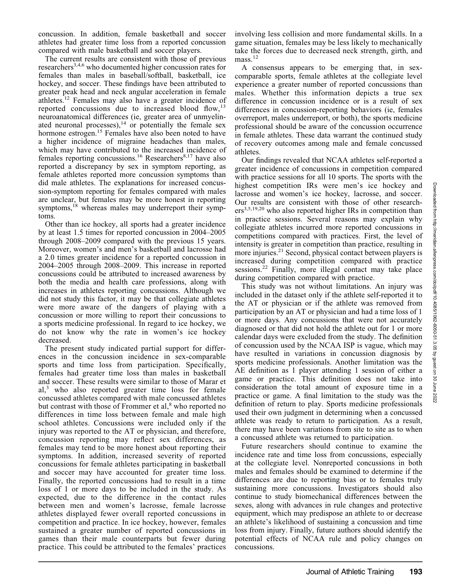concussion. In addition, female basketball and soccer athletes had greater time loss from a reported concussion compared with male basketball and soccer players.

The current results are consistent with those of previous researchers<sup>3,4,6</sup> who documented higher concussion rates for females than males in baseball/softball, basketball, ice hockey, and soccer. These findings have been attributed to greater peak head and neck angular acceleration in female athletes.12 Females may also have a greater incidence of reported concussions due to increased blood flow, $^{13}$ neuroanatomical differences (ie, greater area of unmyelinated neuronal processes), $14$  or potentially the female sex hormone estrogen.<sup>15</sup> Females have also been noted to have a higher incidence of migraine headaches than males, which may have contributed to the increased incidence of females reporting concussions.<sup>16</sup> Researchers<sup>8,17</sup> have also reported a discrepancy by sex in symptom reporting, as female athletes reported more concussion symptoms than did male athletes. The explanations for increased concussion-symptom reporting for females compared with males are unclear, but females may be more honest in reporting symptoms,<sup>18</sup> whereas males may underreport their symptoms.

Other than ice hockey, all sports had a greater incidence by at least 1.5 times for reported concussion in 2004–2005 through 2008–2009 compared with the previous 15 years. Moreover, women's and men's basketball and lacrosse had a 2.0 times greater incidence for a reported concussion in 2004–2005 through 2008–2009. This increase in reported concussions could be attributed to increased awareness by both the media and health care professions, along with increases in athletes reporting concussions. Although we did not study this factor, it may be that collegiate athletes were more aware of the dangers of playing with a concussion or more willing to report their concussions to a sports medicine professional. In regard to ice hockey, we do not know why the rate in women's ice hockey decreased.

The present study indicated partial support for differences in the concussion incidence in sex-comparable sports and time loss from participation. Specifically, females had greater time loss than males in basketball and soccer. These results were similar to those of Marar et  $a^{3}$  who also reported greater time loss for female concussed athletes compared with male concussed athletes but contrast with those of Frommer et al,<sup>8</sup> who reported no differences in time loss between female and male high school athletes. Concussions were included only if the injury was reported to the AT or physician, and therefore, concussion reporting may reflect sex differences, as females may tend to be more honest about reporting their symptoms. In addition, increased severity of reported concussions for female athletes participating in basketball and soccer may have accounted for greater time loss. Finally, the reported concussions had to result in a time loss of 1 or more days to be included in the study. As expected, due to the difference in the contact rules between men and women's lacrosse, female lacrosse athletes displayed fewer overall reported concussions in competition and practice. In ice hockey, however, females sustained a greater number of reported concussions in games than their male counterparts but fewer during practice. This could be attributed to the females' practices

involving less collision and more fundamental skills. In a game situation, females may be less likely to mechanically take the forces due to decreased neck strength, girth, and  $mass.<sup>12</sup>$ 

A consensus appears to be emerging that, in sexcomparable sports, female athletes at the collegiate level experience a greater number of reported concussions than males. Whether this information depicts a true sex difference in concussion incidence or is a result of sex differences in concussion-reporting behaviors (ie, females overreport, males underreport, or both), the sports medicine professional should be aware of the concussion occurrence in female athletes. These data warrant the continued study of recovery outcomes among male and female concussed athletes.

Our findings revealed that NCAA athletes self-reported a greater incidence of concussions in competition compared with practice sessions for all 10 sports. The sports with the highest competition IRs were men's ice hockey and lacrosse and women's ice hockey, lacrosse, and soccer. Our results are consistent with those of other research $ers<sup>3,5,19,20</sup>$  who also reported higher IRs in competition than in practice sessions. Several reasons may explain why collegiate athletes incurred more reported concussions in competitions compared with practices. First, the level of intensity is greater in competition than practice, resulting in more injuries.<sup>21</sup> Second, physical contact between players is increased during competition compared with practice sessions.<sup>22</sup> Finally, more illegal contact may take place during competition compared with practice.

This study was not without limitations. An injury was included in the dataset only if the athlete self-reported it to the AT or physician or if the athlete was removed from participation by an AT or physician and had a time loss of 1 or more days. Any concussions that were not accurately diagnosed or that did not hold the athlete out for 1 or more calendar days were excluded from the study. The definition of concussion used by the NCAA ISP is vague, which may have resulted in variations in concussion diagnosis by sports medicine professionals. Another limitation was the AE definition as 1 player attending 1 session of either a game or practice. This definition does not take into consideration the total amount of exposure time in a practice or game. A final limitation to the study was the definition of return to play. Sports medicine professionals used their own judgment in determining when a concussed athlete was ready to return to participation. As a result, there may have been variations from site to site as to when a concussed athlete was returned to participation.

Future researchers should continue to examine the incidence rate and time loss from concussions, especially at the collegiate level. Nonreported concussions in both males and females should be examined to determine if the differences are due to reporting bias or to females truly sustaining more concussions. Investigators should also continue to study biomechanical differences between the sexes, along with advances in rule changes and protective equipment, which may predispose an athlete to or decrease an athlete's likelihood of sustaining a concussion and time loss from injury. Finally, future authors should identify the potential effects of NCAA rule and policy changes on concussions.